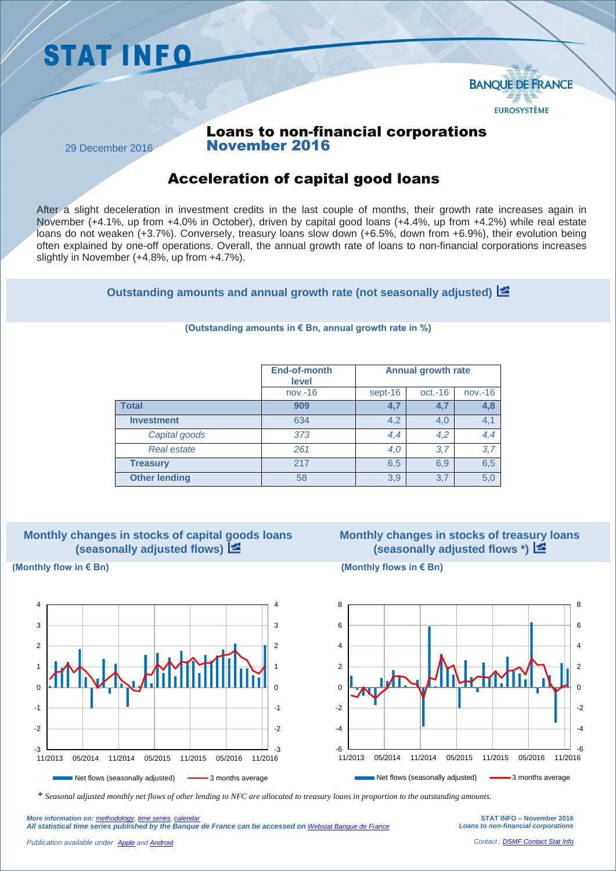



## Loans to non-financial corporations November 2016

29 December 2016

## Acceleration of capital good loans

After a slight deceleration in investment credits in the last couple of months, their growth rate increases again in November (+4.1%, up from +4.0% in October), driven by capital good loans (+4.4%, up from +4.2%) while real estate loans do not weaken (+3.7%). Conversely, treasury loans slow down (+6.5%, down from +6.9%), their evolution being often explained by one-off operations. Overall, the annual growth rate of loans to non-financial corporations increases slightly in November (+4.8%, up from +4.7%).

**Outstanding amounts and annual growth rate (not seasonally adjusted)**

|                      | End-of-month<br>level | <b>Annual growth rate</b> |           |           |
|----------------------|-----------------------|---------------------------|-----------|-----------|
|                      | $nov.-16$             | sept-16                   | $oct.-16$ | $nov.-16$ |
| <b>Total</b>         | 909                   | 4,7                       |           | 4,8       |
| <b>Investment</b>    | 634                   | 4,2                       | 4,0       | 4,1       |
| Capital goods        | 373                   | 4,4                       | 4,2       | 4,4       |
| <b>Real estate</b>   | 261                   | 4,0                       | 3,7       | 3,7       |
| <b>Treasury</b>      | 217                   | 6,5                       | 6,9       | 6,5       |
| <b>Other lending</b> | 58                    | 3,9                       | 3.7       | 5,0       |

#### **(Outstanding amounts in € Bn, annual growth rate in %)**



# **Monthly changes in stocks of treasury loans (seasonally adjusted flows \*)**



**(Monthly flow in € Bn) (Monthly flows in € Bn)**



*\* Seasonal adjusted monthly net flows of other lending to NFC are allocated to treasury loans in proportion to the outstanding amounts.*

**STAT INFO – November 2016** *Loans to non-financial corporations*